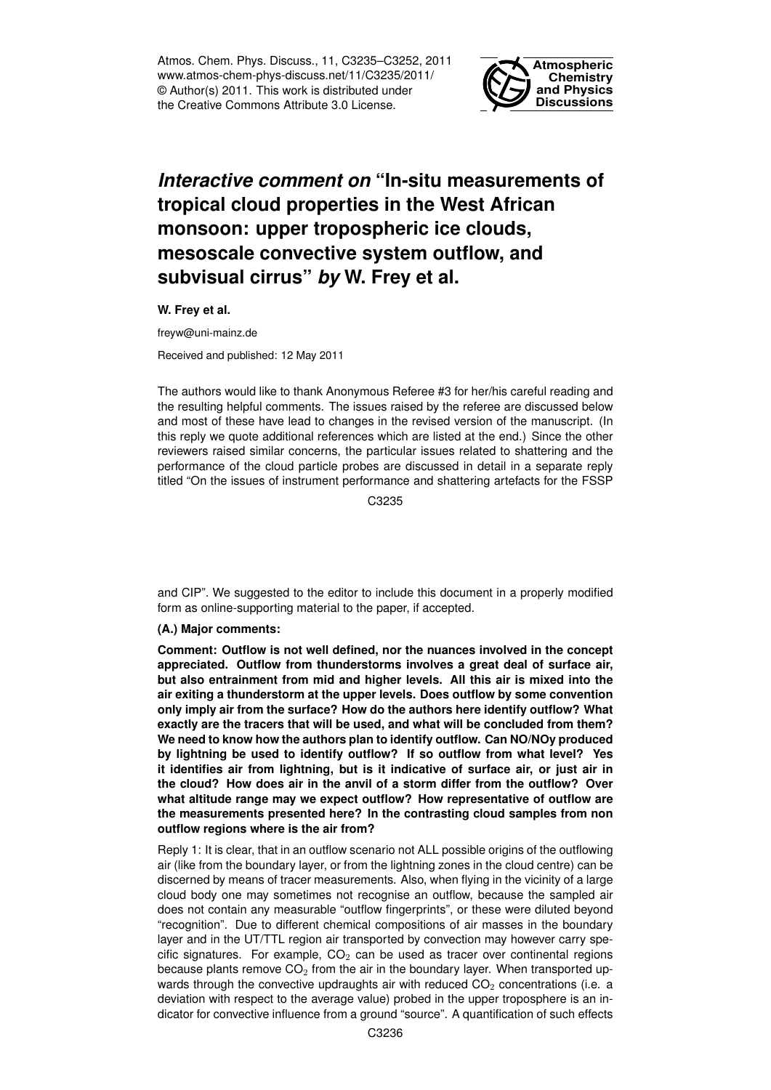Atmos. Chem. Phys. Discuss., 11, C3235–C3252, 2011 www.atmos-chem-phys-discuss.net/11/C3235/2011/ © Author(s) 2011. This work is distributed under the Creative Commons Attribute 3.0 License.



# *Interactive comment on* **"In-situ measurements of tropical cloud properties in the West African monsoon: upper tropospheric ice clouds, mesoscale convective system outflow, and subvisual cirrus"** *by* **W. Frey et al.**

**W. Frey et al.**

freyw@uni-mainz.de

Received and published: 12 May 2011

The authors would like to thank Anonymous Referee #3 for her/his careful reading and the resulting helpful comments. The issues raised by the referee are discussed below and most of these have lead to changes in the revised version of the manuscript. (In this reply we quote additional references which are listed at the end.) Since the other reviewers raised similar concerns, the particular issues related to shattering and the performance of the cloud particle probes are discussed in detail in a separate reply titled "On the issues of instrument performance and shattering artefacts for the FSSP

C3235

and CIP". We suggested to the editor to include this document in a properly modified form as online-supporting material to the paper, if accepted.

# **(A.) Major comments:**

**Comment: Outflow is not well defined, nor the nuances involved in the concept appreciated. Outflow from thunderstorms involves a great deal of surface air, but also entrainment from mid and higher levels. All this air is mixed into the air exiting a thunderstorm at the upper levels. Does outflow by some convention only imply air from the surface? How do the authors here identify outflow? What exactly are the tracers that will be used, and what will be concluded from them? We need to know how the authors plan to identify outflow. Can NO/NOy produced by lightning be used to identify outflow? If so outflow from what level? Yes it identifies air from lightning, but is it indicative of surface air, or just air in the cloud? How does air in the anvil of a storm differ from the outflow? Over what altitude range may we expect outflow? How representative of outflow are the measurements presented here? In the contrasting cloud samples from non outflow regions where is the air from?**

Reply 1: It is clear, that in an outflow scenario not ALL possible origins of the outflowing air (like from the boundary layer, or from the lightning zones in the cloud centre) can be discerned by means of tracer measurements. Also, when flying in the vicinity of a large cloud body one may sometimes not recognise an outflow, because the sampled air does not contain any measurable "outflow fingerprints", or these were diluted beyond "recognition". Due to different chemical compositions of air masses in the boundary layer and in the UT/TTL region air transported by convection may however carry specific signatures. For example,  $CO<sub>2</sub>$  can be used as tracer over continental regions because plants remove  $CO<sub>2</sub>$  from the air in the boundary layer. When transported upwards through the convective updraughts air with reduced  $CO<sub>2</sub>$  concentrations (i.e. a deviation with respect to the average value) probed in the upper troposphere is an indicator for convective influence from a ground "source". A quantification of such effects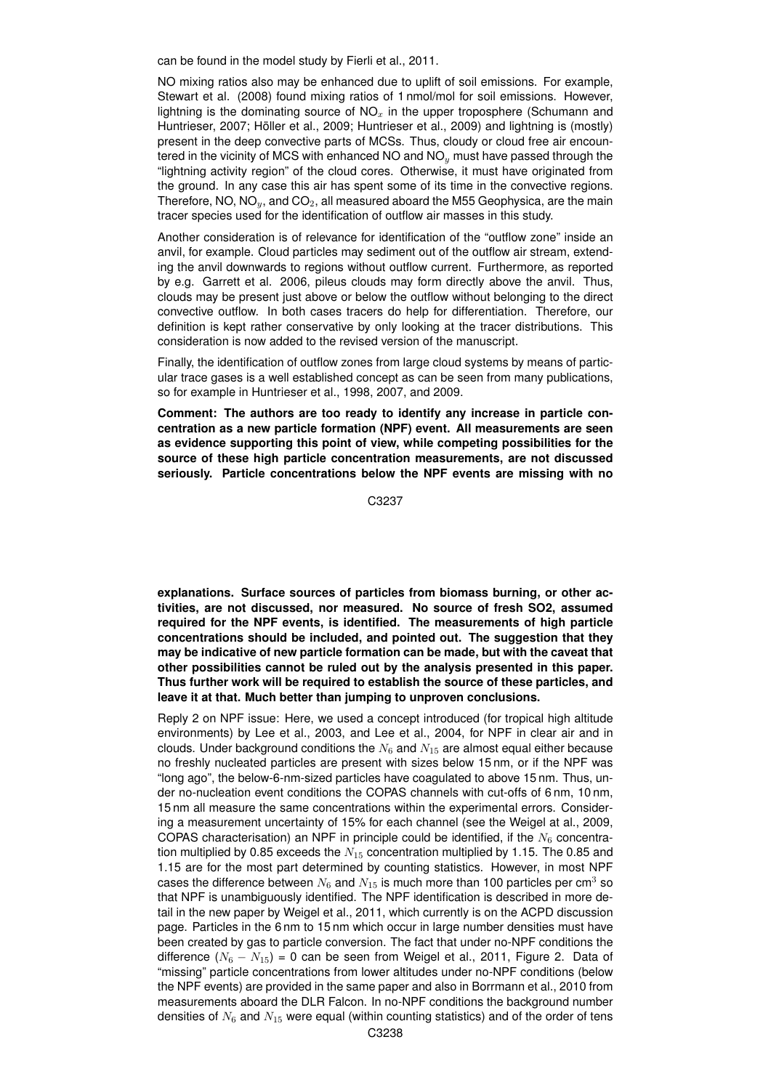can be found in the model study by Fierli et al., 2011.

NO mixing ratios also may be enhanced due to uplift of soil emissions. For example, Stewart et al. (2008) found mixing ratios of 1 nmol/mol for soil emissions. However, lightning is the dominating source of  $NO<sub>x</sub>$  in the upper troposphere (Schumann and Huntrieser, 2007; Höller et al., 2009; Huntrieser et al., 2009) and lightning is (mostly) present in the deep convective parts of MCSs. Thus, cloudy or cloud free air encountered in the vicinity of MCS with enhanced NO and  $NO<sub>y</sub>$  must have passed through the "lightning activity region" of the cloud cores. Otherwise, it must have originated from the ground. In any case this air has spent some of its time in the convective regions. Therefore, NO, NO $_v$ , and CO<sub>2</sub>, all measured aboard the M55 Geophysica, are the main tracer species used for the identification of outflow air masses in this study.

Another consideration is of relevance for identification of the "outflow zone" inside an anvil, for example. Cloud particles may sediment out of the outflow air stream, extending the anvil downwards to regions without outflow current. Furthermore, as reported by e.g. Garrett et al. 2006, pileus clouds may form directly above the anvil. Thus, clouds may be present just above or below the outflow without belonging to the direct convective outflow. In both cases tracers do help for differentiation. Therefore, our definition is kept rather conservative by only looking at the tracer distributions. This consideration is now added to the revised version of the manuscript.

Finally, the identification of outflow zones from large cloud systems by means of particular trace gases is a well established concept as can be seen from many publications, so for example in Huntrieser et al., 1998, 2007, and 2009.

**Comment: The authors are too ready to identify any increase in particle concentration as a new particle formation (NPF) event. All measurements are seen as evidence supporting this point of view, while competing possibilities for the source of these high particle concentration measurements, are not discussed seriously. Particle concentrations below the NPF events are missing with no**

C3237

**explanations. Surface sources of particles from biomass burning, or other activities, are not discussed, nor measured. No source of fresh SO2, assumed required for the NPF events, is identified. The measurements of high particle concentrations should be included, and pointed out. The suggestion that they may be indicative of new particle formation can be made, but with the caveat that other possibilities cannot be ruled out by the analysis presented in this paper. Thus further work will be required to establish the source of these particles, and leave it at that. Much better than jumping to unproven conclusions.**

Reply 2 on NPF issue: Here, we used a concept introduced (for tropical high altitude environments) by Lee et al., 2003, and Lee et al., 2004, for NPF in clear air and in clouds. Under background conditions the  $N_6$  and  $N_{15}$  are almost equal either because no freshly nucleated particles are present with sizes below 15 nm, or if the NPF was "long ago", the below-6-nm-sized particles have coagulated to above 15 nm. Thus, under no-nucleation event conditions the COPAS channels with cut-offs of 6 nm, 10 nm, 15 nm all measure the same concentrations within the experimental errors. Considering a measurement uncertainty of 15% for each channel (see the Weigel at al., 2009, COPAS characterisation) an NPF in principle could be identified, if the  $N_6$  concentration multiplied by 0.85 exceeds the  $N_{15}$  concentration multiplied by 1.15. The 0.85 and 1.15 are for the most part determined by counting statistics. However, in most NPF cases the difference between  $N_6$  and  $N_{15}$  is much more than 100 particles per cm<sup>3</sup> so that NPF is unambiguously identified. The NPF identification is described in more detail in the new paper by Weigel et al., 2011, which currently is on the ACPD discussion page. Particles in the 6 nm to 15 nm which occur in large number densities must have been created by gas to particle conversion. The fact that under no-NPF conditions the difference  $(N_6 - N_{15}) = 0$  can be seen from Weigel et al., 2011, Figure 2. Data of "missing" particle concentrations from lower altitudes under no-NPF conditions (below the NPF events) are provided in the same paper and also in Borrmann et al., 2010 from measurements aboard the DLR Falcon. In no-NPF conditions the background number densities of  $N<sub>6</sub>$  and  $N<sub>15</sub>$  were equal (within counting statistics) and of the order of tens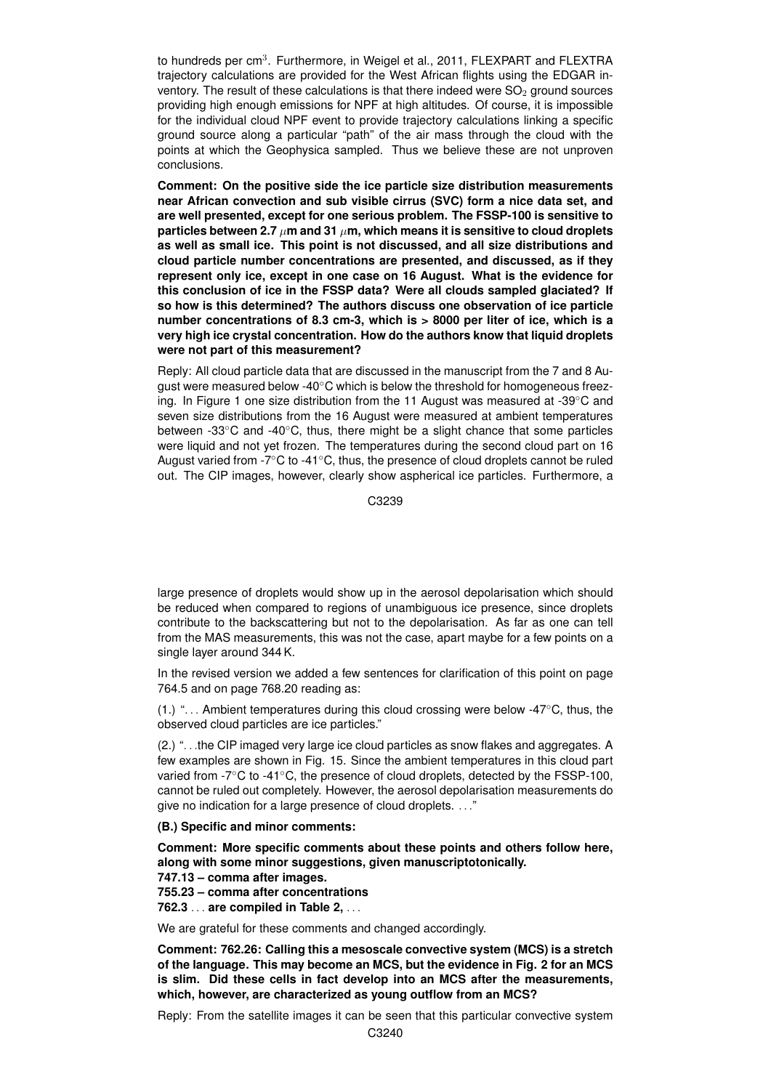to hundreds per cm<sup>3</sup>. Furthermore, in Weigel et al., 2011, FLEXPART and FLEXTRA trajectory calculations are provided for the West African flights using the EDGAR inventory. The result of these calculations is that there indeed were  $SO<sub>2</sub>$  ground sources providing high enough emissions for NPF at high altitudes. Of course, it is impossible for the individual cloud NPF event to provide trajectory calculations linking a specific ground source along a particular "path" of the air mass through the cloud with the points at which the Geophysica sampled. Thus we believe these are not unproven conclusions.

**Comment: On the positive side the ice particle size distribution measurements near African convection and sub visible cirrus (SVC) form a nice data set, and are well presented, except for one serious problem. The FSSP-100 is sensitive to particles between 2.7**  $\mu$ **m and 31**  $\mu$ **m, which means it is sensitive to cloud droplets as well as small ice. This point is not discussed, and all size distributions and cloud particle number concentrations are presented, and discussed, as if they represent only ice, except in one case on 16 August. What is the evidence for this conclusion of ice in the FSSP data? Were all clouds sampled glaciated? If so how is this determined? The authors discuss one observation of ice particle number concentrations of 8.3 cm-3, which is > 8000 per liter of ice, which is a very high ice crystal concentration. How do the authors know that liquid droplets were not part of this measurement?**

Reply: All cloud particle data that are discussed in the manuscript from the 7 and 8 August were measured below -40℃ which is below the threshold for homogeneous freezing. In Figure 1 one size distribution from the 11 August was measured at -39◦C and seven size distributions from the 16 August were measured at ambient temperatures between -33◦C and -40◦C, thus, there might be a slight chance that some particles were liquid and not yet frozen. The temperatures during the second cloud part on 16 August varied from  $-7^\circ$ C to  $-41^\circ$ C, thus, the presence of cloud droplets cannot be ruled out. The CIP images, however, clearly show aspherical ice particles. Furthermore, a

C3239

large presence of droplets would show up in the aerosol depolarisation which should be reduced when compared to regions of unambiguous ice presence, since droplets contribute to the backscattering but not to the depolarisation. As far as one can tell from the MAS measurements, this was not the case, apart maybe for a few points on a single layer around 344 K.

In the revised version we added a few sentences for clarification of this point on page 764.5 and on page 768.20 reading as:

 $(1)$  "... Ambient temperatures during this cloud crossing were below -47 $\degree$ C, thus, the observed cloud particles are ice particles."

(2.) ". . .the CIP imaged very large ice cloud particles as snow flakes and aggregates. A few examples are shown in Fig. 15. Since the ambient temperatures in this cloud part varied from -7°C to -41°C, the presence of cloud droplets, detected by the FSSP-100, cannot be ruled out completely. However, the aerosol depolarisation measurements do give no indication for a large presence of cloud droplets. . . ."

**(B.) Specific and minor comments:**

**Comment: More specific comments about these points and others follow here, along with some minor suggestions, given manuscriptotonically.**

**747.13 – comma after images.**

**755.23 – comma after concentrations**

**762.3** . . . **are compiled in Table 2,** . . .

We are grateful for these comments and changed accordingly.

**Comment: 762.26: Calling this a mesoscale convective system (MCS) is a stretch of the language. This may become an MCS, but the evidence in Fig. 2 for an MCS is slim. Did these cells in fact develop into an MCS after the measurements, which, however, are characterized as young outflow from an MCS?**

Reply: From the satellite images it can be seen that this particular convective system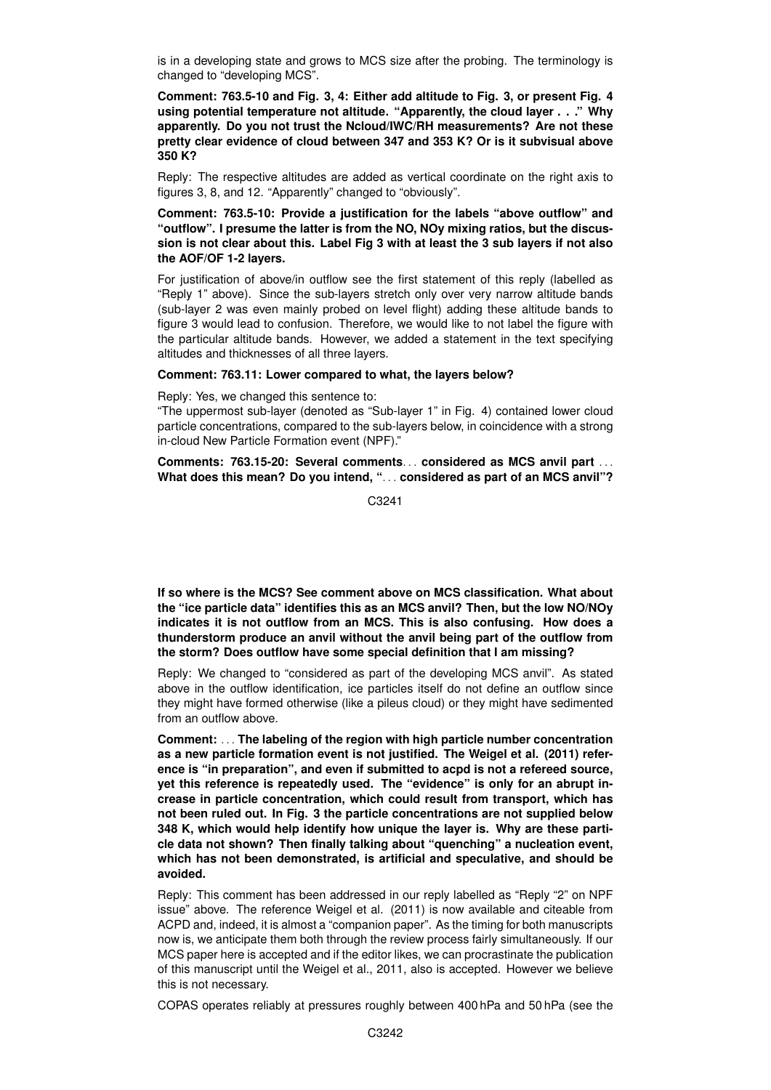is in a developing state and grows to MCS size after the probing. The terminology is changed to "developing MCS".

**Comment: 763.5-10 and Fig. 3, 4: Either add altitude to Fig. 3, or present Fig. 4 using potential temperature not altitude. "Apparently, the cloud layer . . ." Why apparently. Do you not trust the Ncloud/IWC/RH measurements? Are not these pretty clear evidence of cloud between 347 and 353 K? Or is it subvisual above 350 K?**

Reply: The respective altitudes are added as vertical coordinate on the right axis to figures 3, 8, and 12. "Apparently" changed to "obviously".

**Comment: 763.5-10: Provide a justification for the labels "above outflow" and "outflow". I presume the latter is from the NO, NOy mixing ratios, but the discussion is not clear about this. Label Fig 3 with at least the 3 sub layers if not also the AOF/OF 1-2 layers.**

For justification of above/in outflow see the first statement of this reply (labelled as "Reply 1" above). Since the sub-layers stretch only over very narrow altitude bands (sub-layer 2 was even mainly probed on level flight) adding these altitude bands to figure 3 would lead to confusion. Therefore, we would like to not label the figure with the particular altitude bands. However, we added a statement in the text specifying altitudes and thicknesses of all three layers.

#### **Comment: 763.11: Lower compared to what, the layers below?**

Reply: Yes, we changed this sentence to:

"The uppermost sub-layer (denoted as "Sub-layer 1" in Fig. 4) contained lower cloud particle concentrations, compared to the sub-layers below, in coincidence with a strong in-cloud New Particle Formation event (NPF)."

**Comments: 763.15-20: Several comments**. . . **considered as MCS anvil part** . . . **What does this mean? Do you intend, "**. . . **considered as part of an MCS anvil"?**

C3241

**If so where is the MCS? See comment above on MCS classification. What about the "ice particle data" identifies this as an MCS anvil? Then, but the low NO/NOy indicates it is not outflow from an MCS. This is also confusing. How does a thunderstorm produce an anvil without the anvil being part of the outflow from the storm? Does outflow have some special definition that I am missing?**

Reply: We changed to "considered as part of the developing MCS anvil". As stated above in the outflow identification, ice particles itself do not define an outflow since they might have formed otherwise (like a pileus cloud) or they might have sedimented from an outflow above.

**Comment:** . . . **The labeling of the region with high particle number concentration as a new particle formation event is not justified. The Weigel et al. (2011) reference is "in preparation", and even if submitted to acpd is not a refereed source, yet this reference is repeatedly used. The "evidence" is only for an abrupt increase in particle concentration, which could result from transport, which has not been ruled out. In Fig. 3 the particle concentrations are not supplied below 348 K, which would help identify how unique the layer is. Why are these particle data not shown? Then finally talking about "quenching" a nucleation event, which has not been demonstrated, is artificial and speculative, and should be avoided.**

Reply: This comment has been addressed in our reply labelled as "Reply "2" on NPF issue" above. The reference Weigel et al. (2011) is now available and citeable from ACPD and, indeed, it is almost a "companion paper". As the timing for both manuscripts now is, we anticipate them both through the review process fairly simultaneously. If our MCS paper here is accepted and if the editor likes, we can procrastinate the publication of this manuscript until the Weigel et al., 2011, also is accepted. However we believe this is not necessary.

COPAS operates reliably at pressures roughly between 400 hPa and 50 hPa (see the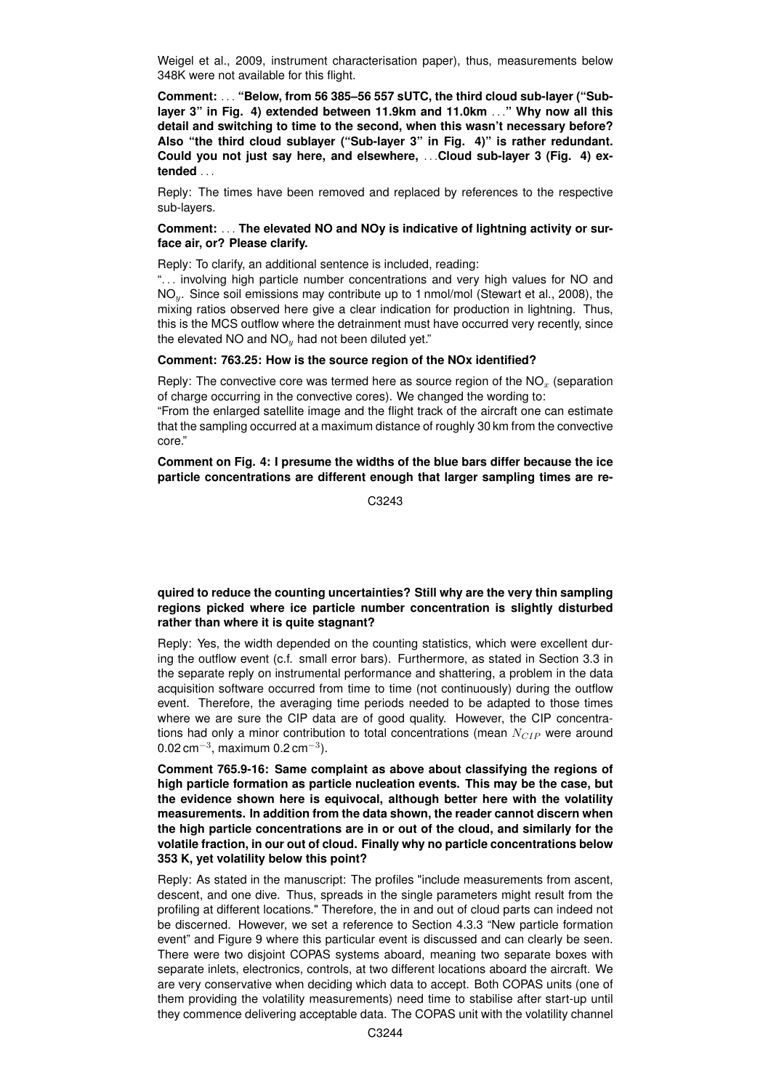Weigel et al., 2009, instrument characterisation paper), thus, measurements below 348K were not available for this flight.

**Comment:** . . . **"Below, from 56 385–56 557 sUTC, the third cloud sub-layer ("Sublayer 3" in Fig. 4) extended between 11.9km and 11.0km** . . .**" Why now all this detail and switching to time to the second, when this wasn't necessary before? Also "the third cloud sublayer ("Sub-layer 3" in Fig. 4)" is rather redundant. Could you not just say here, and elsewhere,** . . .**Cloud sub-layer 3 (Fig. 4) extended** . . .

Reply: The times have been removed and replaced by references to the respective sub-layers.

#### **Comment:** . . . **The elevated NO and NOy is indicative of lightning activity or surface air, or? Please clarify.**

Reply: To clarify, an additional sentence is included, reading:

"... involving high particle number concentrations and very high values for NO and NO<sub>y</sub>. Since soil emissions may contribute up to 1 nmol/mol (Stewart et al., 2008), the mixing ratios observed here give a clear indication for production in lightning. Thus, this is the MCS outflow where the detrainment must have occurred very recently, since the elevated NO and  $NO<sub>y</sub>$  had not been diluted yet."

#### **Comment: 763.25: How is the source region of the NOx identified?**

Reply: The convective core was termed here as source region of the  $NO<sub>x</sub>$  (separation of charge occurring in the convective cores). We changed the wording to:

"From the enlarged satellite image and the flight track of the aircraft one can estimate that the sampling occurred at a maximum distance of roughly 30 km from the convective core."

**Comment on Fig. 4: I presume the widths of the blue bars differ because the ice particle concentrations are different enough that larger sampling times are re-**

C3243

# **quired to reduce the counting uncertainties? Still why are the very thin sampling regions picked where ice particle number concentration is slightly disturbed rather than where it is quite stagnant?**

Reply: Yes, the width depended on the counting statistics, which were excellent during the outflow event (c.f. small error bars). Furthermore, as stated in Section 3.3 in the separate reply on instrumental performance and shattering, a problem in the data acquisition software occurred from time to time (not continuously) during the outflow event. Therefore, the averaging time periods needed to be adapted to those times where we are sure the CIP data are of good quality. However, the CIP concentrations had only a minor contribution to total concentrations (mean  $N_{GIP}$  were around 0.02 cm<sup>-3</sup>, maximum 0.2 cm<sup>-3</sup>).

**Comment 765.9-16: Same complaint as above about classifying the regions of high particle formation as particle nucleation events. This may be the case, but the evidence shown here is equivocal, although better here with the volatility measurements. In addition from the data shown, the reader cannot discern when the high particle concentrations are in or out of the cloud, and similarly for the volatile fraction, in our out of cloud. Finally why no particle concentrations below 353 K, yet volatility below this point?**

Reply: As stated in the manuscript: The profiles "include measurements from ascent, descent, and one dive. Thus, spreads in the single parameters might result from the profiling at different locations." Therefore, the in and out of cloud parts can indeed not be discerned. However, we set a reference to Section 4.3.3 "New particle formation event" and Figure 9 where this particular event is discussed and can clearly be seen. There were two disjoint COPAS systems aboard, meaning two separate boxes with separate inlets, electronics, controls, at two different locations aboard the aircraft. We are very conservative when deciding which data to accept. Both COPAS units (one of them providing the volatility measurements) need time to stabilise after start-up until they commence delivering acceptable data. The COPAS unit with the volatility channel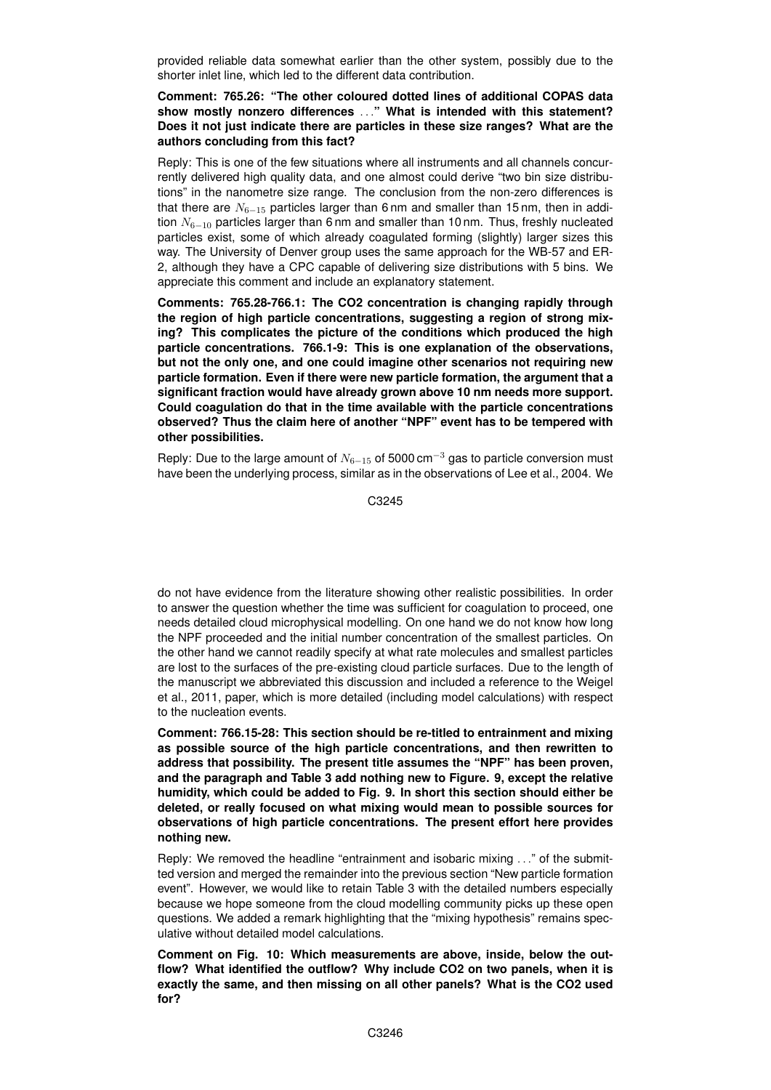provided reliable data somewhat earlier than the other system, possibly due to the shorter inlet line, which led to the different data contribution.

# **Comment: 765.26: "The other coloured dotted lines of additional COPAS data show mostly nonzero differences** . . .**" What is intended with this statement? Does it not just indicate there are particles in these size ranges? What are the authors concluding from this fact?**

Reply: This is one of the few situations where all instruments and all channels concurrently delivered high quality data, and one almost could derive "two bin size distributions" in the nanometre size range. The conclusion from the non-zero differences is that there are  $N_{6-15}$  particles larger than 6 nm and smaller than 15 nm, then in addition  $N_{6-10}$  particles larger than 6 nm and smaller than 10 nm. Thus, freshly nucleated particles exist, some of which already coagulated forming (slightly) larger sizes this way. The University of Denver group uses the same approach for the WB-57 and ER-2, although they have a CPC capable of delivering size distributions with 5 bins. We appreciate this comment and include an explanatory statement.

**Comments: 765.28-766.1: The CO2 concentration is changing rapidly through the region of high particle concentrations, suggesting a region of strong mixing? This complicates the picture of the conditions which produced the high particle concentrations. 766.1-9: This is one explanation of the observations, but not the only one, and one could imagine other scenarios not requiring new particle formation. Even if there were new particle formation, the argument that a significant fraction would have already grown above 10 nm needs more support. Could coagulation do that in the time available with the particle concentrations observed? Thus the claim here of another "NPF" event has to be tempered with other possibilities.**

Reply: Due to the large amount of  $N_{6-15}$  of 5000 cm<sup>-3</sup> gas to particle conversion must have been the underlying process, similar as in the observations of Lee et al., 2004. We

C3245

do not have evidence from the literature showing other realistic possibilities. In order to answer the question whether the time was sufficient for coagulation to proceed, one needs detailed cloud microphysical modelling. On one hand we do not know how long the NPF proceeded and the initial number concentration of the smallest particles. On the other hand we cannot readily specify at what rate molecules and smallest particles are lost to the surfaces of the pre-existing cloud particle surfaces. Due to the length of the manuscript we abbreviated this discussion and included a reference to the Weigel et al., 2011, paper, which is more detailed (including model calculations) with respect to the nucleation events.

**Comment: 766.15-28: This section should be re-titled to entrainment and mixing as possible source of the high particle concentrations, and then rewritten to address that possibility. The present title assumes the "NPF" has been proven, and the paragraph and Table 3 add nothing new to Figure. 9, except the relative humidity, which could be added to Fig. 9. In short this section should either be deleted, or really focused on what mixing would mean to possible sources for observations of high particle concentrations. The present effort here provides nothing new.**

Reply: We removed the headline "entrainment and isobaric mixing . . ." of the submitted version and merged the remainder into the previous section "New particle formation event". However, we would like to retain Table 3 with the detailed numbers especially because we hope someone from the cloud modelling community picks up these open questions. We added a remark highlighting that the "mixing hypothesis" remains speculative without detailed model calculations.

**Comment on Fig. 10: Which measurements are above, inside, below the outflow? What identified the outflow? Why include CO2 on two panels, when it is exactly the same, and then missing on all other panels? What is the CO2 used for?**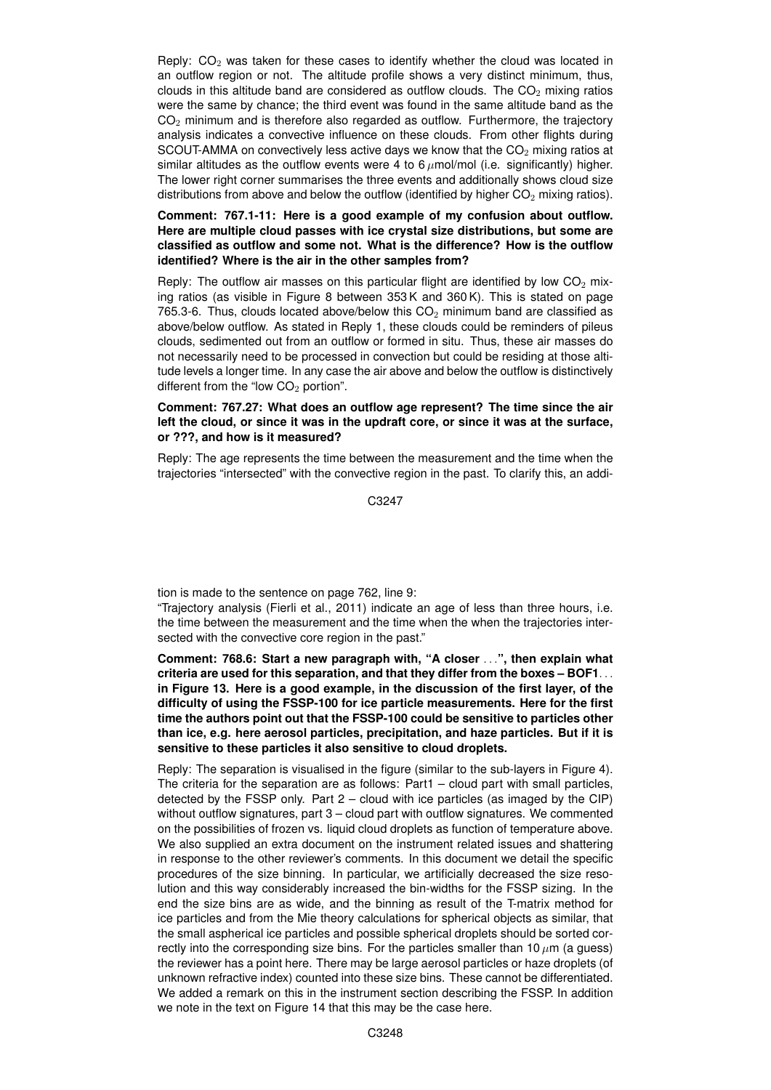Reply:  $CO<sub>2</sub>$  was taken for these cases to identify whether the cloud was located in an outflow region or not. The altitude profile shows a very distinct minimum, thus, clouds in this altitude band are considered as outflow clouds. The  $CO<sub>2</sub>$  mixing ratios were the same by chance; the third event was found in the same altitude band as the  $CO<sub>2</sub>$  minimum and is therefore also regarded as outflow. Furthermore, the trajectory analysis indicates a convective influence on these clouds. From other flights during SCOUT-AMMA on convectively less active days we know that the  $CO<sub>2</sub>$  mixing ratios at similar altitudes as the outflow events were 4 to  $6 \mu$ mol/mol (i.e. significantly) higher. The lower right corner summarises the three events and additionally shows cloud size distributions from above and below the outflow (identified by higher  $CO<sub>2</sub>$  mixing ratios).

## **Comment: 767.1-11: Here is a good example of my confusion about outflow. Here are multiple cloud passes with ice crystal size distributions, but some are classified as outflow and some not. What is the difference? How is the outflow identified? Where is the air in the other samples from?**

Reply: The outflow air masses on this particular flight are identified by low  $CO<sub>2</sub>$  mixing ratios (as visible in Figure 8 between 353 K and 360 K). This is stated on page 765.3-6. Thus, clouds located above/below this  $CO<sub>2</sub>$  minimum band are classified as above/below outflow. As stated in Reply 1, these clouds could be reminders of pileus clouds, sedimented out from an outflow or formed in situ. Thus, these air masses do not necessarily need to be processed in convection but could be residing at those altitude levels a longer time. In any case the air above and below the outflow is distinctively different from the "low  $CO<sub>2</sub>$  portion".

# **Comment: 767.27: What does an outflow age represent? The time since the air left the cloud, or since it was in the updraft core, or since it was at the surface, or ???, and how is it measured?**

Reply: The age represents the time between the measurement and the time when the trajectories "intersected" with the convective region in the past. To clarify this, an addi-

C3247

tion is made to the sentence on page 762, line 9:

"Trajectory analysis (Fierli et al., 2011) indicate an age of less than three hours, i.e. the time between the measurement and the time when the when the trajectories intersected with the convective core region in the past."

**Comment: 768.6: Start a new paragraph with, "A closer** . . .**", then explain what criteria are used for this separation, and that they differ from the boxes – BOF1**. . . **in Figure 13. Here is a good example, in the discussion of the first layer, of the difficulty of using the FSSP-100 for ice particle measurements. Here for the first time the authors point out that the FSSP-100 could be sensitive to particles other than ice, e.g. here aerosol particles, precipitation, and haze particles. But if it is sensitive to these particles it also sensitive to cloud droplets.**

Reply: The separation is visualised in the figure (similar to the sub-layers in Figure 4). The criteria for the separation are as follows: Part1 – cloud part with small particles, detected by the FSSP only. Part 2 – cloud with ice particles (as imaged by the CIP) without outflow signatures, part 3 – cloud part with outflow signatures. We commented on the possibilities of frozen vs. liquid cloud droplets as function of temperature above. We also supplied an extra document on the instrument related issues and shattering in response to the other reviewer's comments. In this document we detail the specific procedures of the size binning. In particular, we artificially decreased the size resolution and this way considerably increased the bin-widths for the FSSP sizing. In the end the size bins are as wide, and the binning as result of the T-matrix method for ice particles and from the Mie theory calculations for spherical objects as similar, that the small aspherical ice particles and possible spherical droplets should be sorted correctly into the corresponding size bins. For the particles smaller than 10  $\mu$ m (a quess) the reviewer has a point here. There may be large aerosol particles or haze droplets (of unknown refractive index) counted into these size bins. These cannot be differentiated. We added a remark on this in the instrument section describing the FSSP. In addition we note in the text on Figure 14 that this may be the case here.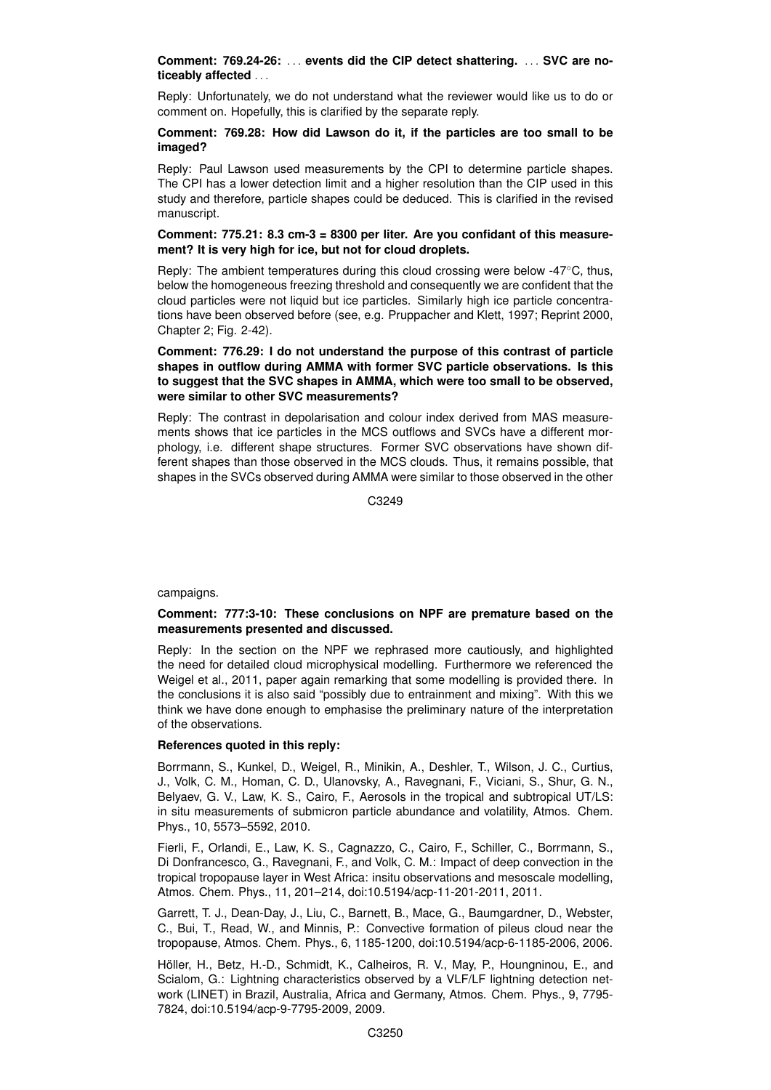## **Comment: 769.24-26:** . . . **events did the CIP detect shattering.** . . . **SVC are noticeably affected** . . .

Reply: Unfortunately, we do not understand what the reviewer would like us to do or comment on. Hopefully, this is clarified by the separate reply.

#### **Comment: 769.28: How did Lawson do it, if the particles are too small to be imaged?**

Reply: Paul Lawson used measurements by the CPI to determine particle shapes. The CPI has a lower detection limit and a higher resolution than the CIP used in this study and therefore, particle shapes could be deduced. This is clarified in the revised manuscript.

#### **Comment: 775.21: 8.3 cm-3 = 8300 per liter. Are you confidant of this measurement? It is very high for ice, but not for cloud droplets.**

Reply: The ambient temperatures during this cloud crossing were below -47◦C, thus, below the homogeneous freezing threshold and consequently we are confident that the cloud particles were not liquid but ice particles. Similarly high ice particle concentrations have been observed before (see, e.g. Pruppacher and Klett, 1997; Reprint 2000, Chapter 2; Fig. 2-42).

## **Comment: 776.29: I do not understand the purpose of this contrast of particle shapes in outflow during AMMA with former SVC particle observations. Is this to suggest that the SVC shapes in AMMA, which were too small to be observed, were similar to other SVC measurements?**

Reply: The contrast in depolarisation and colour index derived from MAS measurements shows that ice particles in the MCS outflows and SVCs have a different morphology, i.e. different shape structures. Former SVC observations have shown different shapes than those observed in the MCS clouds. Thus, it remains possible, that shapes in the SVCs observed during AMMA were similar to those observed in the other

C3249

campaigns.

### **Comment: 777:3-10: These conclusions on NPF are premature based on the measurements presented and discussed.**

Reply: In the section on the NPF we rephrased more cautiously, and highlighted the need for detailed cloud microphysical modelling. Furthermore we referenced the Weigel et al., 2011, paper again remarking that some modelling is provided there. In the conclusions it is also said "possibly due to entrainment and mixing". With this we think we have done enough to emphasise the preliminary nature of the interpretation of the observations.

# **References quoted in this reply:**

Borrmann, S., Kunkel, D., Weigel, R., Minikin, A., Deshler, T., Wilson, J. C., Curtius, J., Volk, C. M., Homan, C. D., Ulanovsky, A., Ravegnani, F., Viciani, S., Shur, G. N., Belyaev, G. V., Law, K. S., Cairo, F., Aerosols in the tropical and subtropical UT/LS: in situ measurements of submicron particle abundance and volatility, Atmos. Chem. Phys., 10, 5573–5592, 2010.

Fierli, F., Orlandi, E., Law, K. S., Cagnazzo, C., Cairo, F., Schiller, C., Borrmann, S., Di Donfrancesco, G., Ravegnani, F., and Volk, C. M.: Impact of deep convection in the tropical tropopause layer in West Africa: insitu observations and mesoscale modelling, Atmos. Chem. Phys., 11, 201–214, doi:10.5194/acp-11-201-2011, 2011.

Garrett, T. J., Dean-Day, J., Liu, C., Barnett, B., Mace, G., Baumgardner, D., Webster, C., Bui, T., Read, W., and Minnis, P.: Convective formation of pileus cloud near the tropopause, Atmos. Chem. Phys., 6, 1185-1200, doi:10.5194/acp-6-1185-2006, 2006.

Höller, H., Betz, H.-D., Schmidt, K., Calheiros, R. V., May, P., Houngninou, E., and Scialom, G.: Lightning characteristics observed by a VLF/LF lightning detection network (LINET) in Brazil, Australia, Africa and Germany, Atmos. Chem. Phys., 9, 7795- 7824, doi:10.5194/acp-9-7795-2009, 2009.